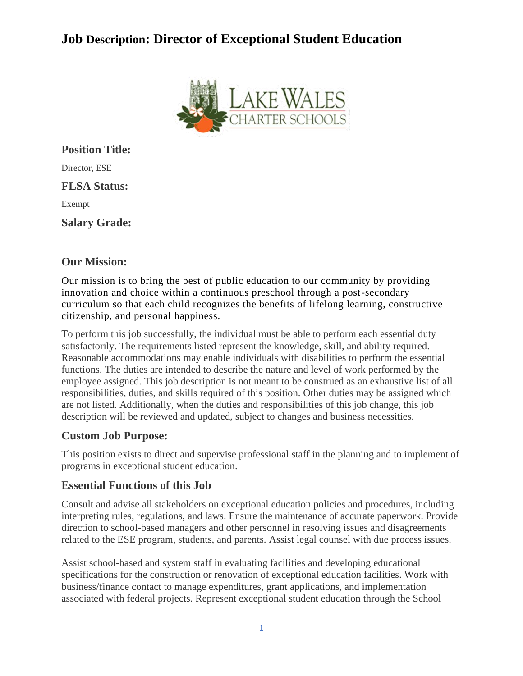# **Job Description: Director of Exceptional Student Education**



**Position Title:** Director, ESE **FLSA Status:** Exempt **Salary Grade:**

### **Our Mission:**

Our mission is to bring the best of public education to our community by providing innovation and choice within a continuous preschool through a post-secondary curriculum so that each child recognizes the benefits of lifelong learning, constructive citizenship, and personal happiness.

To perform this job successfully, the individual must be able to perform each essential duty satisfactorily. The requirements listed represent the knowledge, skill, and ability required. Reasonable accommodations may enable individuals with disabilities to perform the essential functions. The duties are intended to describe the nature and level of work performed by the employee assigned. This job description is not meant to be construed as an exhaustive list of all responsibilities, duties, and skills required of this position. Other duties may be assigned which are not listed. Additionally, when the duties and responsibilities of this job change, this job description will be reviewed and updated, subject to changes and business necessities.

### **Custom Job Purpose:**

This position exists to direct and supervise professional staff in the planning and to implement of programs in exceptional student education.

### **Essential Functions of this Job**

Consult and advise all stakeholders on exceptional education policies and procedures, including interpreting rules, regulations, and laws. Ensure the maintenance of accurate paperwork. Provide direction to school-based managers and other personnel in resolving issues and disagreements related to the ESE program, students, and parents. Assist legal counsel with due process issues.

Assist school-based and system staff in evaluating facilities and developing educational specifications for the construction or renovation of exceptional education facilities. Work with business/finance contact to manage expenditures, grant applications, and implementation associated with federal projects. Represent exceptional student education through the School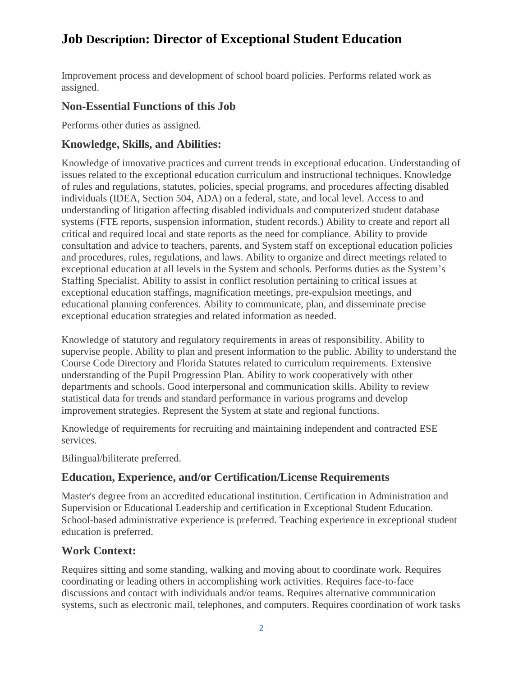# **Job Description: Director of Exceptional Student Education**

Improvement process and development of school board policies. Performs related work as assigned.

## **Non-Essential Functions of this Job**

Performs other duties as assigned.

## **Knowledge, Skills, and Abilities:**

Knowledge of innovative practices and current trends in exceptional education. Understanding of issues related to the exceptional education curriculum and instructional techniques. Knowledge of rules and regulations, statutes, policies, special programs, and procedures affecting disabled individuals (IDEA, Section 504, ADA) on a federal, state, and local level. Access to and understanding of litigation affecting disabled individuals and computerized student database systems (FTE reports, suspension information, student records.) Ability to create and report all critical and required local and state reports as the need for compliance. Ability to provide consultation and advice to teachers, parents, and System staff on exceptional education policies and procedures, rules, regulations, and laws. Ability to organize and direct meetings related to exceptional education at all levels in the System and schools. Performs duties as the System's Staffing Specialist. Ability to assist in conflict resolution pertaining to critical issues at exceptional education staffings, magnification meetings, pre-expulsion meetings, and educational planning conferences. Ability to communicate, plan, and disseminate precise exceptional education strategies and related information as needed.

Knowledge of statutory and regulatory requirements in areas of responsibility. Ability to supervise people. Ability to plan and present information to the public. Ability to understand the Course Code Directory and Florida Statutes related to curriculum requirements. Extensive understanding of the Pupil Progression Plan. Ability to work cooperatively with other departments and schools. Good interpersonal and communication skills. Ability to review statistical data for trends and standard performance in various programs and develop improvement strategies. Represent the System at state and regional functions.

Knowledge of requirements for recruiting and maintaining independent and contracted ESE services.

Bilingual/biliterate preferred.

## **Education, Experience, and/or Certification/License Requirements**

Master's degree from an accredited educational institution. Certification in Administration and Supervision or Educational Leadership and certification in Exceptional Student Education. School-based administrative experience is preferred. Teaching experience in exceptional student education is preferred.

# **Work Context:**

Requires sitting and some standing, walking and moving about to coordinate work. Requires coordinating or leading others in accomplishing work activities. Requires face-to-face discussions and contact with individuals and/or teams. Requires alternative communication systems, such as electronic mail, telephones, and computers. Requires coordination of work tasks